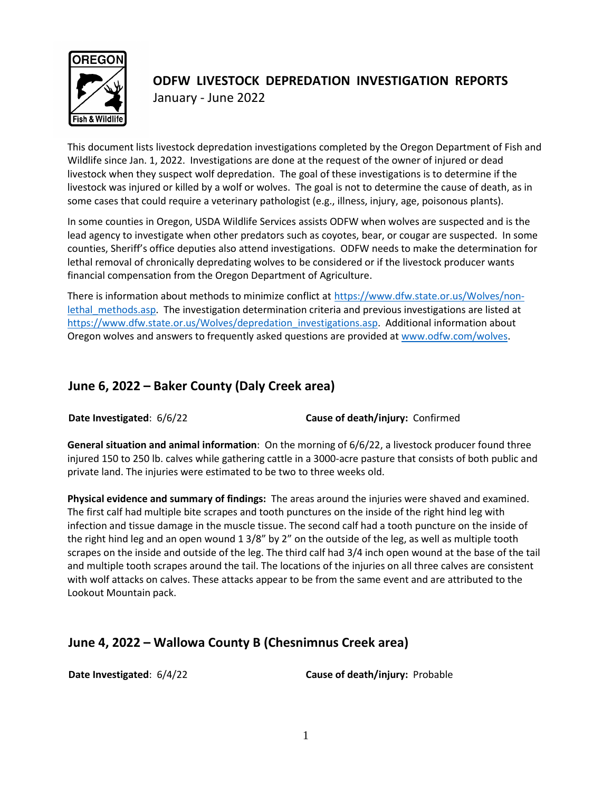

# **ODFW LIVESTOCK DEPREDATION INVESTIGATION REPORTS** January - June 2022

This document lists livestock depredation investigations completed by the Oregon Department of Fish and Wildlife since Jan. 1, 2022. Investigations are done at the request of the owner of injured or dead livestock when they suspect wolf depredation. The goal of these investigations is to determine if the livestock was injured or killed by a wolf or wolves. The goal is not to determine the cause of death, as in some cases that could require a veterinary pathologist (e.g., illness, injury, age, poisonous plants).

In some counties in Oregon, USDA Wildlife Services assists ODFW when wolves are suspected and is the lead agency to investigate when other predators such as coyotes, bear, or cougar are suspected. In some counties, Sheriff's office deputies also attend investigations. ODFW needs to make the determination for lethal removal of chronically depredating wolves to be considered or if the livestock producer wants financial compensation from the Oregon Department of Agriculture.

There is information about methods to minimize conflict at [https://www.dfw.state.or.us/Wolves/non](https://www.dfw.state.or.us/Wolves/non-lethal_methods.asp)lethal methods.asp. The investigation determination criteria and previous investigations are listed at [https://www.dfw.state.or.us/Wolves/depredation\\_investigations.asp.](https://www.dfw.state.or.us/Wolves/depredation_investigations.asp) Additional information about Oregon wolves and answers to frequently asked questions are provided a[t www.odfw.com/wolves.](http://www.odfw.com/wolves)

## **June 6, 2022 – Baker County (Daly Creek area)**

**Date Investigated**: 6/6/22 **Cause of death/injury:** Confirmed

**General situation and animal information**: On the morning of 6/6/22, a livestock producer found three injured 150 to 250 lb. calves while gathering cattle in a 3000-acre pasture that consists of both public and private land. The injuries were estimated to be two to three weeks old.

**Physical evidence and summary of findings:** The areas around the injuries were shaved and examined. The first calf had multiple bite scrapes and tooth punctures on the inside of the right hind leg with infection and tissue damage in the muscle tissue. The second calf had a tooth puncture on the inside of the right hind leg and an open wound 1 3/8" by 2" on the outside of the leg, as well as multiple tooth scrapes on the inside and outside of the leg. The third calf had 3/4 inch open wound at the base of the tail and multiple tooth scrapes around the tail. The locations of the injuries on all three calves are consistent with wolf attacks on calves. These attacks appear to be from the same event and are attributed to the Lookout Mountain pack.

# **June 4, 2022 – Wallowa County B (Chesnimnus Creek area)**

**Date Investigated**: 6/4/22 **Cause of death/injury:** Probable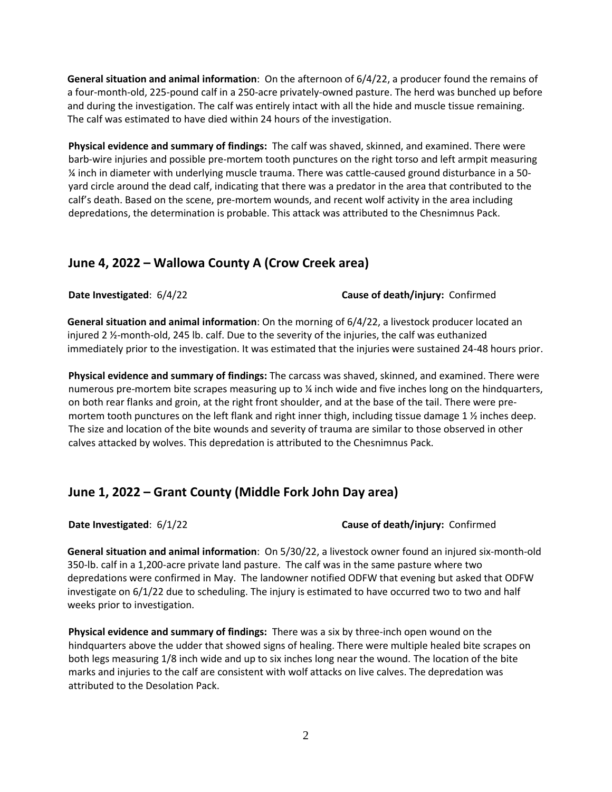**General situation and animal information**: On the afternoon of 6/4/22, a producer found the remains of a four-month-old, 225-pound calf in a 250-acre privately-owned pasture. The herd was bunched up before and during the investigation. The calf was entirely intact with all the hide and muscle tissue remaining. The calf was estimated to have died within 24 hours of the investigation.

**Physical evidence and summary of findings:** The calf was shaved, skinned, and examined. There were barb-wire injuries and possible pre-mortem tooth punctures on the right torso and left armpit measuring ¼ inch in diameter with underlying muscle trauma. There was cattle-caused ground disturbance in a 50 yard circle around the dead calf, indicating that there was a predator in the area that contributed to the calf's death. Based on the scene, pre-mortem wounds, and recent wolf activity in the area including depredations, the determination is probable. This attack was attributed to the Chesnimnus Pack.

#### **June 4, 2022 – Wallowa County A (Crow Creek area)**

**Date Investigated**: 6/4/22 **Cause of death/injury:** Confirmed

**General situation and animal information**: On the morning of 6/4/22, a livestock producer located an injured 2 ½-month-old, 245 lb. calf. Due to the severity of the injuries, the calf was euthanized immediately prior to the investigation. It was estimated that the injuries were sustained 24-48 hours prior.

**Physical evidence and summary of findings:** The carcass was shaved, skinned, and examined. There were numerous pre-mortem bite scrapes measuring up to ¼ inch wide and five inches long on the hindquarters, on both rear flanks and groin, at the right front shoulder, and at the base of the tail. There were premortem tooth punctures on the left flank and right inner thigh, including tissue damage 1  $\frac{1}{2}$  inches deep. The size and location of the bite wounds and severity of trauma are similar to those observed in other calves attacked by wolves. This depredation is attributed to the Chesnimnus Pack.

## **June 1, 2022 – Grant County (Middle Fork John Day area)**

#### **Date Investigated**: 6/1/22 **Cause of death/injury:** Confirmed

**General situation and animal information**: On 5/30/22, a livestock owner found an injured six-month-old 350-lb. calf in a 1,200-acre private land pasture. The calf was in the same pasture where two depredations were confirmed in May. The landowner notified ODFW that evening but asked that ODFW investigate on 6/1/22 due to scheduling. The injury is estimated to have occurred two to two and half weeks prior to investigation.

**Physical evidence and summary of findings:** There was a six by three-inch open wound on the hindquarters above the udder that showed signs of healing. There were multiple healed bite scrapes on both legs measuring 1/8 inch wide and up to six inches long near the wound. The location of the bite marks and injuries to the calf are consistent with wolf attacks on live calves. The depredation was attributed to the Desolation Pack.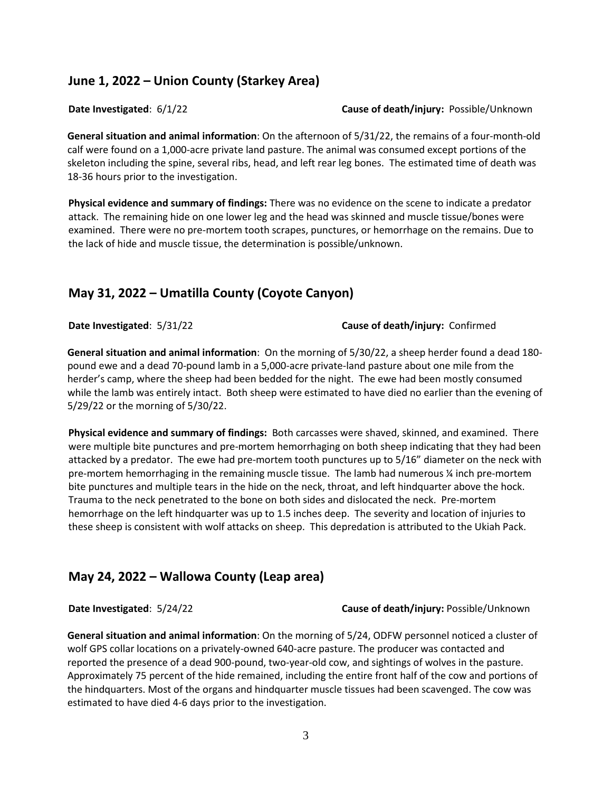## **June 1, 2022 – Union County (Starkey Area)**

#### **Date Investigated**: 6/1/22 **Cause of death/injury:** Possible/Unknown

**General situation and animal information**: On the afternoon of 5/31/22, the remains of a four-month-old calf were found on a 1,000-acre private land pasture. The animal was consumed except portions of the skeleton including the spine, several ribs, head, and left rear leg bones. The estimated time of death was 18-36 hours prior to the investigation.

**Physical evidence and summary of findings:** There was no evidence on the scene to indicate a predator attack. The remaining hide on one lower leg and the head was skinned and muscle tissue/bones were examined. There were no pre-mortem tooth scrapes, punctures, or hemorrhage on the remains. Due to the lack of hide and muscle tissue, the determination is possible/unknown.

## **May 31, 2022 – Umatilla County (Coyote Canyon)**

**Date Investigated**: 5/31/22 **Cause of death/injury:** Confirmed

**General situation and animal information**: On the morning of 5/30/22, a sheep herder found a dead 180 pound ewe and a dead 70-pound lamb in a 5,000-acre private-land pasture about one mile from the herder's camp, where the sheep had been bedded for the night. The ewe had been mostly consumed while the lamb was entirely intact. Both sheep were estimated to have died no earlier than the evening of 5/29/22 or the morning of 5/30/22.

**Physical evidence and summary of findings:** Both carcasses were shaved, skinned, and examined. There were multiple bite punctures and pre-mortem hemorrhaging on both sheep indicating that they had been attacked by a predator. The ewe had pre-mortem tooth punctures up to 5/16" diameter on the neck with pre-mortem hemorrhaging in the remaining muscle tissue. The lamb had numerous ¼ inch pre-mortem bite punctures and multiple tears in the hide on the neck, throat, and left hindquarter above the hock. Trauma to the neck penetrated to the bone on both sides and dislocated the neck. Pre-mortem hemorrhage on the left hindquarter was up to 1.5 inches deep. The severity and location of injuries to these sheep is consistent with wolf attacks on sheep. This depredation is attributed to the Ukiah Pack.

# **May 24, 2022 – Wallowa County (Leap area)**

**Date Investigated**: 5/24/22 **Cause of death/injury:** Possible/Unknown

**General situation and animal information**: On the morning of 5/24, ODFW personnel noticed a cluster of wolf GPS collar locations on a privately-owned 640-acre pasture. The producer was contacted and reported the presence of a dead 900-pound, two-year-old cow, and sightings of wolves in the pasture. Approximately 75 percent of the hide remained, including the entire front half of the cow and portions of the hindquarters. Most of the organs and hindquarter muscle tissues had been scavenged. The cow was estimated to have died 4-6 days prior to the investigation.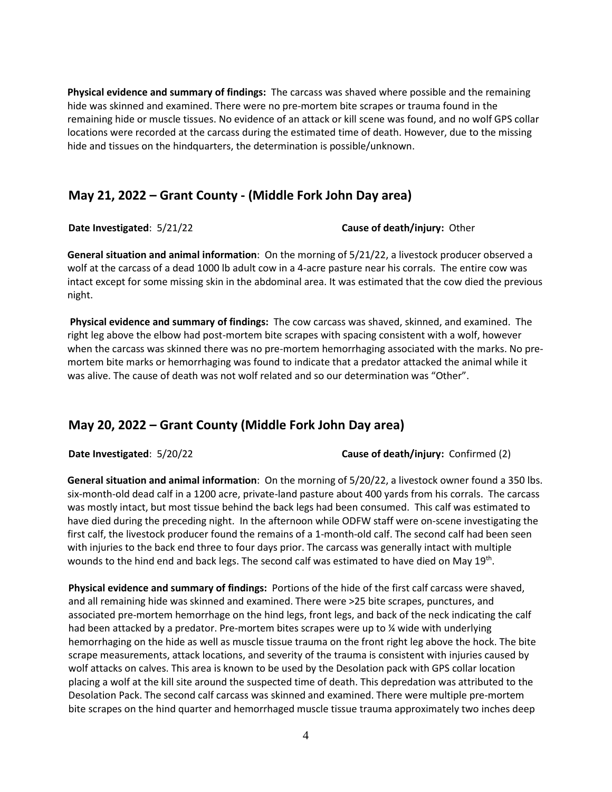**Physical evidence and summary of findings:** The carcass was shaved where possible and the remaining hide was skinned and examined. There were no pre-mortem bite scrapes or trauma found in the remaining hide or muscle tissues. No evidence of an attack or kill scene was found, and no wolf GPS collar locations were recorded at the carcass during the estimated time of death. However, due to the missing hide and tissues on the hindquarters, the determination is possible/unknown.

#### **May 21, 2022 – Grant County - (Middle Fork John Day area)**

**Date Investigated**: 5/21/22 **Cause of death/injury:** Other

**General situation and animal information**: On the morning of 5/21/22, a livestock producer observed a wolf at the carcass of a dead 1000 lb adult cow in a 4-acre pasture near his corrals. The entire cow was intact except for some missing skin in the abdominal area. It was estimated that the cow died the previous night.

**Physical evidence and summary of findings:** The cow carcass was shaved, skinned, and examined. The right leg above the elbow had post-mortem bite scrapes with spacing consistent with a wolf, however when the carcass was skinned there was no pre-mortem hemorrhaging associated with the marks. No premortem bite marks or hemorrhaging was found to indicate that a predator attacked the animal while it was alive. The cause of death was not wolf related and so our determination was "Other".

## **May 20, 2022 – Grant County (Middle Fork John Day area)**

**Date Investigated**: 5/20/22 **Cause of death/injury:** Confirmed (2)

**General situation and animal information**: On the morning of 5/20/22, a livestock owner found a 350 lbs. six-month-old dead calf in a 1200 acre, private-land pasture about 400 yards from his corrals. The carcass was mostly intact, but most tissue behind the back legs had been consumed. This calf was estimated to have died during the preceding night. In the afternoon while ODFW staff were on-scene investigating the first calf, the livestock producer found the remains of a 1-month-old calf. The second calf had been seen with injuries to the back end three to four days prior. The carcass was generally intact with multiple wounds to the hind end and back legs. The second calf was estimated to have died on May 19<sup>th</sup>.

**Physical evidence and summary of findings:** Portions of the hide of the first calf carcass were shaved, and all remaining hide was skinned and examined. There were >25 bite scrapes, punctures, and associated pre-mortem hemorrhage on the hind legs, front legs, and back of the neck indicating the calf had been attacked by a predator. Pre-mortem bites scrapes were up to % wide with underlying hemorrhaging on the hide as well as muscle tissue trauma on the front right leg above the hock. The bite scrape measurements, attack locations, and severity of the trauma is consistent with injuries caused by wolf attacks on calves. This area is known to be used by the Desolation pack with GPS collar location placing a wolf at the kill site around the suspected time of death. This depredation was attributed to the Desolation Pack. The second calf carcass was skinned and examined. There were multiple pre-mortem bite scrapes on the hind quarter and hemorrhaged muscle tissue trauma approximately two inches deep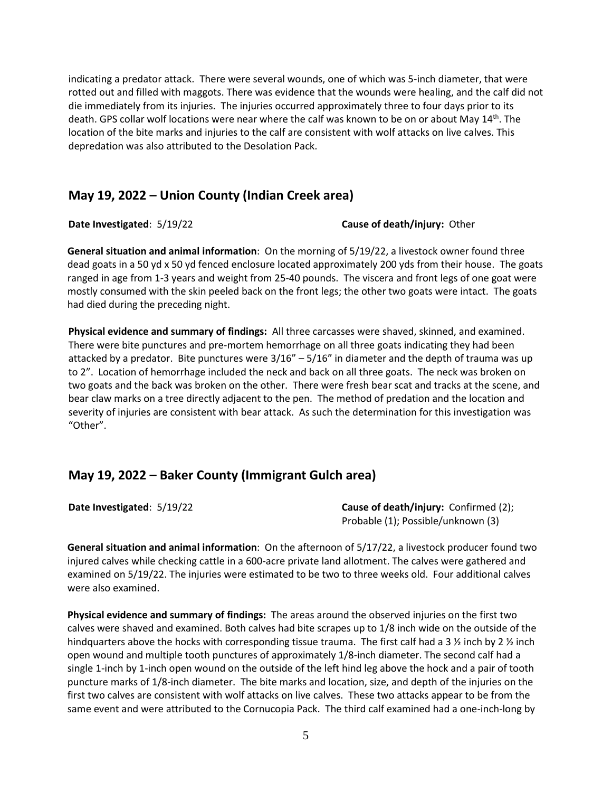indicating a predator attack. There were several wounds, one of which was 5-inch diameter, that were rotted out and filled with maggots. There was evidence that the wounds were healing, and the calf did not die immediately from its injuries. The injuries occurred approximately three to four days prior to its death. GPS collar wolf locations were near where the calf was known to be on or about May 14<sup>th</sup>. The location of the bite marks and injuries to the calf are consistent with wolf attacks on live calves. This depredation was also attributed to the Desolation Pack.

#### **May 19, 2022 – Union County (Indian Creek area)**

#### **Date Investigated**: 5/19/22 **Cause of death/injury:** Other

**General situation and animal information**: On the morning of 5/19/22, a livestock owner found three dead goats in a 50 yd x 50 yd fenced enclosure located approximately 200 yds from their house. The goats ranged in age from 1-3 years and weight from 25-40 pounds. The viscera and front legs of one goat were mostly consumed with the skin peeled back on the front legs; the other two goats were intact. The goats had died during the preceding night.

**Physical evidence and summary of findings:** All three carcasses were shaved, skinned, and examined. There were bite punctures and pre-mortem hemorrhage on all three goats indicating they had been attacked by a predator. Bite punctures were 3/16" – 5/16" in diameter and the depth of trauma was up to 2". Location of hemorrhage included the neck and back on all three goats. The neck was broken on two goats and the back was broken on the other. There were fresh bear scat and tracks at the scene, and bear claw marks on a tree directly adjacent to the pen. The method of predation and the location and severity of injuries are consistent with bear attack. As such the determination for this investigation was "Other".

## **May 19, 2022 – Baker County (Immigrant Gulch area)**

**Date Investigated**: 5/19/22 **Cause of death/injury:** Confirmed (2); Probable (1); Possible/unknown (3)

**General situation and animal information**: On the afternoon of 5/17/22, a livestock producer found two injured calves while checking cattle in a 600-acre private land allotment. The calves were gathered and examined on 5/19/22. The injuries were estimated to be two to three weeks old. Four additional calves were also examined.

**Physical evidence and summary of findings:** The areas around the observed injuries on the first two calves were shaved and examined. Both calves had bite scrapes up to 1/8 inch wide on the outside of the hindquarters above the hocks with corresponding tissue trauma. The first calf had a 3  $\frac{1}{2}$  inch by 2  $\frac{1}{2}$  inch open wound and multiple tooth punctures of approximately 1/8-inch diameter. The second calf had a single 1-inch by 1-inch open wound on the outside of the left hind leg above the hock and a pair of tooth puncture marks of 1/8-inch diameter. The bite marks and location, size, and depth of the injuries on the first two calves are consistent with wolf attacks on live calves. These two attacks appear to be from the same event and were attributed to the Cornucopia Pack. The third calf examined had a one-inch-long by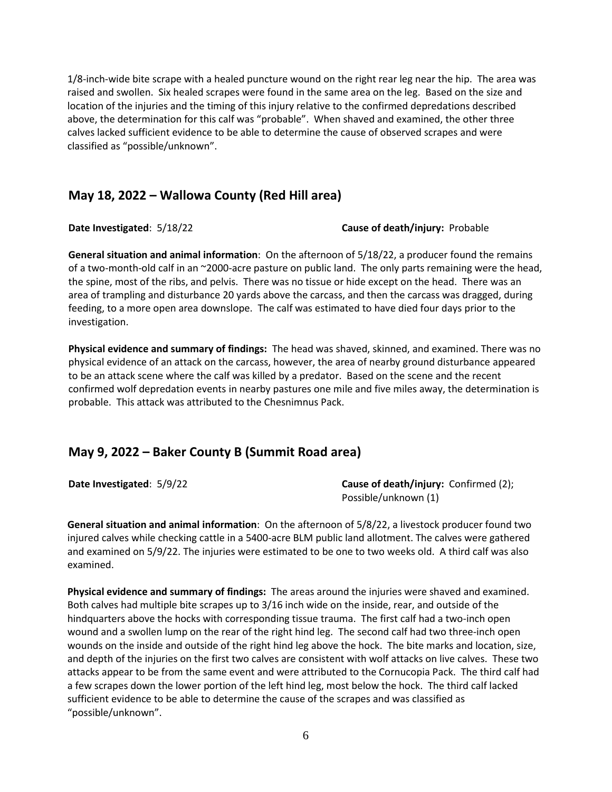1/8-inch-wide bite scrape with a healed puncture wound on the right rear leg near the hip. The area was raised and swollen. Six healed scrapes were found in the same area on the leg. Based on the size and location of the injuries and the timing of this injury relative to the confirmed depredations described above, the determination for this calf was "probable". When shaved and examined, the other three calves lacked sufficient evidence to be able to determine the cause of observed scrapes and were classified as "possible/unknown".

## **May 18, 2022 – Wallowa County (Red Hill area)**

**Date Investigated**: 5/18/22 **Cause of death/injury:** Probable

**General situation and animal information**: On the afternoon of 5/18/22, a producer found the remains of a two-month-old calf in an ~2000-acre pasture on public land. The only parts remaining were the head, the spine, most of the ribs, and pelvis. There was no tissue or hide except on the head. There was an area of trampling and disturbance 20 yards above the carcass, and then the carcass was dragged, during feeding, to a more open area downslope. The calf was estimated to have died four days prior to the investigation.

**Physical evidence and summary of findings:** The head was shaved, skinned, and examined. There was no physical evidence of an attack on the carcass, however, the area of nearby ground disturbance appeared to be an attack scene where the calf was killed by a predator. Based on the scene and the recent confirmed wolf depredation events in nearby pastures one mile and five miles away, the determination is probable. This attack was attributed to the Chesnimnus Pack.

## **May 9, 2022 – Baker County B (Summit Road area)**

**Date Investigated:** 5/9/22 **Cause of death/injury:** Confirmed (2); Possible/unknown (1)

**General situation and animal information**: On the afternoon of 5/8/22, a livestock producer found two injured calves while checking cattle in a 5400-acre BLM public land allotment. The calves were gathered and examined on 5/9/22. The injuries were estimated to be one to two weeks old. A third calf was also examined.

**Physical evidence and summary of findings:** The areas around the injuries were shaved and examined. Both calves had multiple bite scrapes up to 3/16 inch wide on the inside, rear, and outside of the hindquarters above the hocks with corresponding tissue trauma. The first calf had a two-inch open wound and a swollen lump on the rear of the right hind leg. The second calf had two three-inch open wounds on the inside and outside of the right hind leg above the hock. The bite marks and location, size, and depth of the injuries on the first two calves are consistent with wolf attacks on live calves. These two attacks appear to be from the same event and were attributed to the Cornucopia Pack. The third calf had a few scrapes down the lower portion of the left hind leg, most below the hock. The third calf lacked sufficient evidence to be able to determine the cause of the scrapes and was classified as "possible/unknown".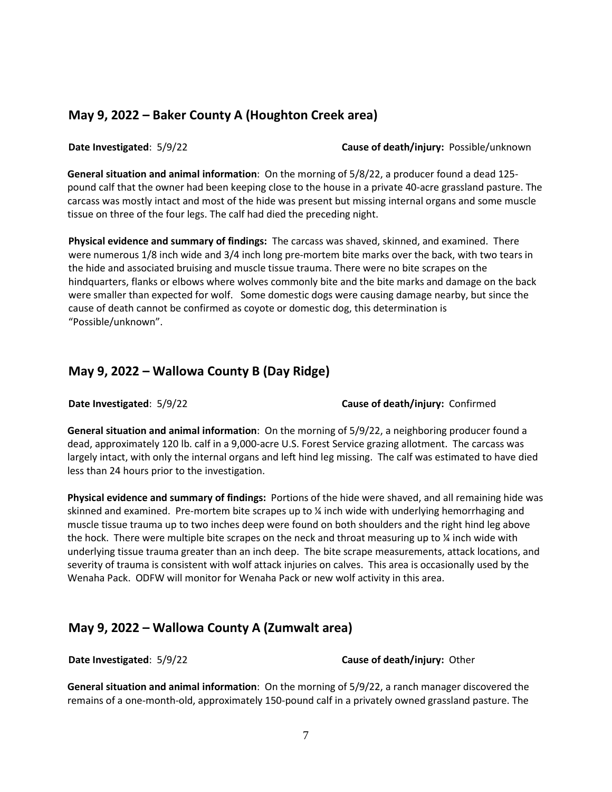## **May 9, 2022 – Baker County A (Houghton Creek area)**

**Date Investigated**: 5/9/22 **Cause of death/injury:** Possible/unknown

**General situation and animal information**: On the morning of 5/8/22, a producer found a dead 125 pound calf that the owner had been keeping close to the house in a private 40-acre grassland pasture. The carcass was mostly intact and most of the hide was present but missing internal organs and some muscle tissue on three of the four legs. The calf had died the preceding night.

**Physical evidence and summary of findings:** The carcass was shaved, skinned, and examined. There were numerous 1/8 inch wide and 3/4 inch long pre-mortem bite marks over the back, with two tears in the hide and associated bruising and muscle tissue trauma. There were no bite scrapes on the hindquarters, flanks or elbows where wolves commonly bite and the bite marks and damage on the back were smaller than expected for wolf. Some domestic dogs were causing damage nearby, but since the cause of death cannot be confirmed as coyote or domestic dog, this determination is "Possible/unknown".

#### **May 9, 2022 – Wallowa County B (Day Ridge)**

**Date Investigated**: 5/9/22 **Cause of death/injury:** Confirmed

**General situation and animal information**: On the morning of 5/9/22, a neighboring producer found a dead, approximately 120 lb. calf in a 9,000-acre U.S. Forest Service grazing allotment. The carcass was largely intact, with only the internal organs and left hind leg missing. The calf was estimated to have died less than 24 hours prior to the investigation.

**Physical evidence and summary of findings:** Portions of the hide were shaved, and all remaining hide was skinned and examined. Pre-mortem bite scrapes up to ¼ inch wide with underlying hemorrhaging and muscle tissue trauma up to two inches deep were found on both shoulders and the right hind leg above the hock. There were multiple bite scrapes on the neck and throat measuring up to  $\chi$  inch wide with underlying tissue trauma greater than an inch deep. The bite scrape measurements, attack locations, and severity of trauma is consistent with wolf attack injuries on calves. This area is occasionally used by the Wenaha Pack. ODFW will monitor for Wenaha Pack or new wolf activity in this area.

#### **May 9, 2022 – Wallowa County A (Zumwalt area)**

**Date Investigated**: 5/9/22 **Cause of death/injury:** Other

**General situation and animal information**: On the morning of 5/9/22, a ranch manager discovered the remains of a one-month-old, approximately 150-pound calf in a privately owned grassland pasture. The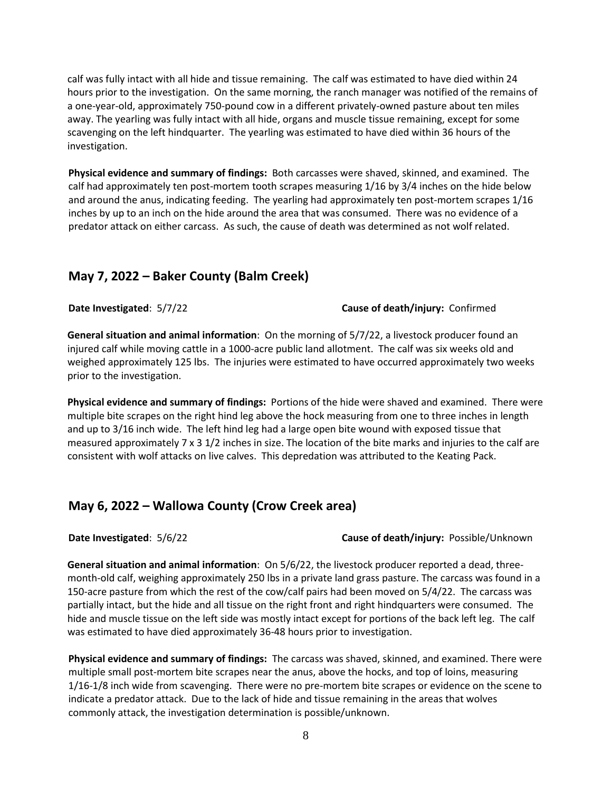calf was fully intact with all hide and tissue remaining. The calf was estimated to have died within 24 hours prior to the investigation. On the same morning, the ranch manager was notified of the remains of a one-year-old, approximately 750-pound cow in a different privately-owned pasture about ten miles away. The yearling was fully intact with all hide, organs and muscle tissue remaining, except for some scavenging on the left hindquarter. The yearling was estimated to have died within 36 hours of the investigation.

**Physical evidence and summary of findings:** Both carcasses were shaved, skinned, and examined. The calf had approximately ten post-mortem tooth scrapes measuring 1/16 by 3/4 inches on the hide below and around the anus, indicating feeding. The yearling had approximately ten post-mortem scrapes 1/16 inches by up to an inch on the hide around the area that was consumed. There was no evidence of a predator attack on either carcass. As such, the cause of death was determined as not wolf related.

## **May 7, 2022 – Baker County (Balm Creek)**

**Date Investigated**: 5/7/22 **Cause of death/injury:** Confirmed

**General situation and animal information**: On the morning of 5/7/22, a livestock producer found an injured calf while moving cattle in a 1000-acre public land allotment. The calf was six weeks old and weighed approximately 125 lbs. The injuries were estimated to have occurred approximately two weeks prior to the investigation.

**Physical evidence and summary of findings:** Portions of the hide were shaved and examined. There were multiple bite scrapes on the right hind leg above the hock measuring from one to three inches in length and up to 3/16 inch wide. The left hind leg had a large open bite wound with exposed tissue that measured approximately 7 x 3 1/2 inches in size. The location of the bite marks and injuries to the calf are consistent with wolf attacks on live calves. This depredation was attributed to the Keating Pack.

## **May 6, 2022 – Wallowa County (Crow Creek area)**

**Date Investigated**: 5/6/22 **Cause of death/injury:** Possible/Unknown

**General situation and animal information**: On 5/6/22, the livestock producer reported a dead, threemonth-old calf, weighing approximately 250 lbs in a private land grass pasture. The carcass was found in a 150-acre pasture from which the rest of the cow/calf pairs had been moved on 5/4/22. The carcass was partially intact, but the hide and all tissue on the right front and right hindquarters were consumed. The hide and muscle tissue on the left side was mostly intact except for portions of the back left leg. The calf was estimated to have died approximately 36-48 hours prior to investigation.

**Physical evidence and summary of findings:** The carcass was shaved, skinned, and examined. There were multiple small post-mortem bite scrapes near the anus, above the hocks, and top of loins, measuring 1/16-1/8 inch wide from scavenging. There were no pre-mortem bite scrapes or evidence on the scene to indicate a predator attack. Due to the lack of hide and tissue remaining in the areas that wolves commonly attack, the investigation determination is possible/unknown.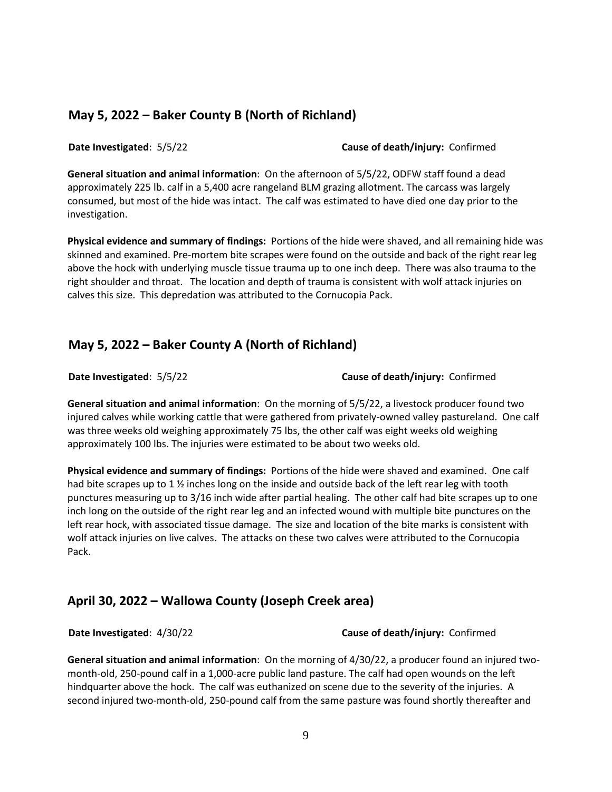## **May 5, 2022 – Baker County B (North of Richland)**

**Date Investigated**: 5/5/22 **Cause of death/injury:** Confirmed

**General situation and animal information**: On the afternoon of 5/5/22, ODFW staff found a dead approximately 225 lb. calf in a 5,400 acre rangeland BLM grazing allotment. The carcass was largely consumed, but most of the hide was intact. The calf was estimated to have died one day prior to the investigation.

**Physical evidence and summary of findings:** Portions of the hide were shaved, and all remaining hide was skinned and examined. Pre-mortem bite scrapes were found on the outside and back of the right rear leg above the hock with underlying muscle tissue trauma up to one inch deep. There was also trauma to the right shoulder and throat. The location and depth of trauma is consistent with wolf attack injuries on calves this size. This depredation was attributed to the Cornucopia Pack.

## **May 5, 2022 – Baker County A (North of Richland)**

**Date Investigated**: 5/5/22 **Cause of death/injury:** Confirmed

**General situation and animal information**: On the morning of 5/5/22, a livestock producer found two injured calves while working cattle that were gathered from privately-owned valley pastureland. One calf was three weeks old weighing approximately 75 lbs, the other calf was eight weeks old weighing approximately 100 lbs. The injuries were estimated to be about two weeks old.

**Physical evidence and summary of findings:** Portions of the hide were shaved and examined. One calf had bite scrapes up to 1 % inches long on the inside and outside back of the left rear leg with tooth punctures measuring up to 3/16 inch wide after partial healing. The other calf had bite scrapes up to one inch long on the outside of the right rear leg and an infected wound with multiple bite punctures on the left rear hock, with associated tissue damage. The size and location of the bite marks is consistent with wolf attack injuries on live calves. The attacks on these two calves were attributed to the Cornucopia Pack.

## **April 30, 2022 – Wallowa County (Joseph Creek area)**

**Date Investigated**: 4/30/22 **Cause of death/injury:** Confirmed

**General situation and animal information**: On the morning of 4/30/22, a producer found an injured twomonth-old, 250-pound calf in a 1,000-acre public land pasture. The calf had open wounds on the left hindquarter above the hock. The calf was euthanized on scene due to the severity of the injuries. A second injured two-month-old, 250-pound calf from the same pasture was found shortly thereafter and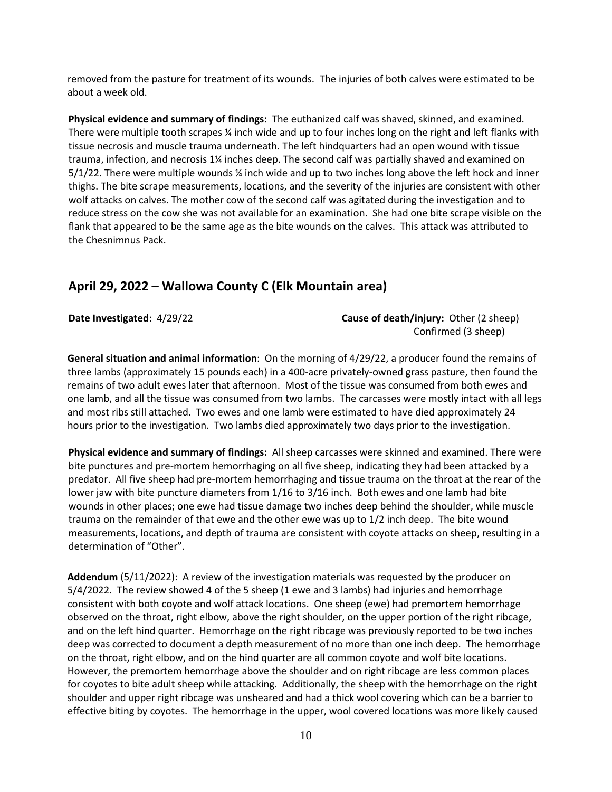removed from the pasture for treatment of its wounds. The injuries of both calves were estimated to be about a week old.

**Physical evidence and summary of findings:** The euthanized calf was shaved, skinned, and examined. There were multiple tooth scrapes ¼ inch wide and up to four inches long on the right and left flanks with tissue necrosis and muscle trauma underneath. The left hindquarters had an open wound with tissue trauma, infection, and necrosis 1¼ inches deep. The second calf was partially shaved and examined on 5/1/22. There were multiple wounds ¼ inch wide and up to two inches long above the left hock and inner thighs. The bite scrape measurements, locations, and the severity of the injuries are consistent with other wolf attacks on calves. The mother cow of the second calf was agitated during the investigation and to reduce stress on the cow she was not available for an examination. She had one bite scrape visible on the flank that appeared to be the same age as the bite wounds on the calves. This attack was attributed to the Chesnimnus Pack.

#### **April 29, 2022 – Wallowa County C (Elk Mountain area)**

**Date Investigated**: 4/29/22 **Cause of death/injury:** Other (2 sheep) Confirmed (3 sheep)

**General situation and animal information**: On the morning of 4/29/22, a producer found the remains of three lambs (approximately 15 pounds each) in a 400-acre privately-owned grass pasture, then found the remains of two adult ewes later that afternoon. Most of the tissue was consumed from both ewes and one lamb, and all the tissue was consumed from two lambs. The carcasses were mostly intact with all legs and most ribs still attached. Two ewes and one lamb were estimated to have died approximately 24 hours prior to the investigation. Two lambs died approximately two days prior to the investigation.

**Physical evidence and summary of findings:** All sheep carcasses were skinned and examined. There were bite punctures and pre-mortem hemorrhaging on all five sheep, indicating they had been attacked by a predator. All five sheep had pre-mortem hemorrhaging and tissue trauma on the throat at the rear of the lower jaw with bite puncture diameters from 1/16 to 3/16 inch. Both ewes and one lamb had bite wounds in other places; one ewe had tissue damage two inches deep behind the shoulder, while muscle trauma on the remainder of that ewe and the other ewe was up to 1/2 inch deep. The bite wound measurements, locations, and depth of trauma are consistent with coyote attacks on sheep, resulting in a determination of "Other".

**Addendum** (5/11/2022): A review of the investigation materials was requested by the producer on 5/4/2022. The review showed 4 of the 5 sheep (1 ewe and 3 lambs) had injuries and hemorrhage consistent with both coyote and wolf attack locations. One sheep (ewe) had premortem hemorrhage observed on the throat, right elbow, above the right shoulder, on the upper portion of the right ribcage, and on the left hind quarter. Hemorrhage on the right ribcage was previously reported to be two inches deep was corrected to document a depth measurement of no more than one inch deep. The hemorrhage on the throat, right elbow, and on the hind quarter are all common coyote and wolf bite locations. However, the premortem hemorrhage above the shoulder and on right ribcage are less common places for coyotes to bite adult sheep while attacking. Additionally, the sheep with the hemorrhage on the right shoulder and upper right ribcage was unsheared and had a thick wool covering which can be a barrier to effective biting by coyotes. The hemorrhage in the upper, wool covered locations was more likely caused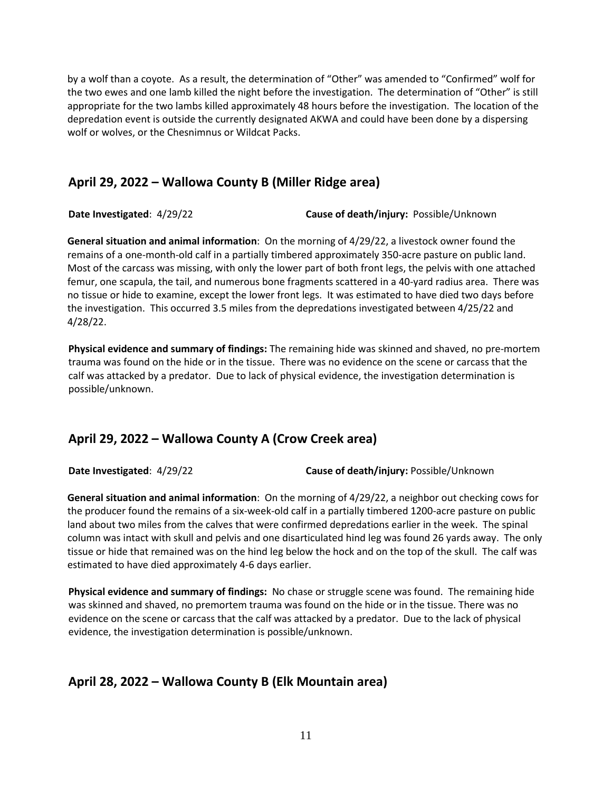by a wolf than a coyote. As a result, the determination of "Other" was amended to "Confirmed" wolf for the two ewes and one lamb killed the night before the investigation. The determination of "Other" is still appropriate for the two lambs killed approximately 48 hours before the investigation. The location of the depredation event is outside the currently designated AKWA and could have been done by a dispersing wolf or wolves, or the Chesnimnus or Wildcat Packs.

## **April 29, 2022 – Wallowa County B (Miller Ridge area)**

**Date Investigated**: 4/29/22 **Cause of death/injury:** Possible/Unknown

**General situation and animal information**: On the morning of 4/29/22, a livestock owner found the remains of a one-month-old calf in a partially timbered approximately 350-acre pasture on public land. Most of the carcass was missing, with only the lower part of both front legs, the pelvis with one attached femur, one scapula, the tail, and numerous bone fragments scattered in a 40-yard radius area. There was no tissue or hide to examine, except the lower front legs. It was estimated to have died two days before the investigation. This occurred 3.5 miles from the depredations investigated between 4/25/22 and 4/28/22.

**Physical evidence and summary of findings:** The remaining hide was skinned and shaved, no pre-mortem trauma was found on the hide or in the tissue. There was no evidence on the scene or carcass that the calf was attacked by a predator. Due to lack of physical evidence, the investigation determination is possible/unknown.

## **April 29, 2022 – Wallowa County A (Crow Creek area)**

**Date Investigated**: 4/29/22 **Cause of death/injury:** Possible/Unknown

**General situation and animal information**: On the morning of 4/29/22, a neighbor out checking cows for the producer found the remains of a six-week-old calf in a partially timbered 1200-acre pasture on public land about two miles from the calves that were confirmed depredations earlier in the week. The spinal column was intact with skull and pelvis and one disarticulated hind leg was found 26 yards away. The only tissue or hide that remained was on the hind leg below the hock and on the top of the skull. The calf was estimated to have died approximately 4-6 days earlier.

**Physical evidence and summary of findings:** No chase or struggle scene was found. The remaining hide was skinned and shaved, no premortem trauma was found on the hide or in the tissue. There was no evidence on the scene or carcass that the calf was attacked by a predator. Due to the lack of physical evidence, the investigation determination is possible/unknown.

## **April 28, 2022 – Wallowa County B (Elk Mountain area)**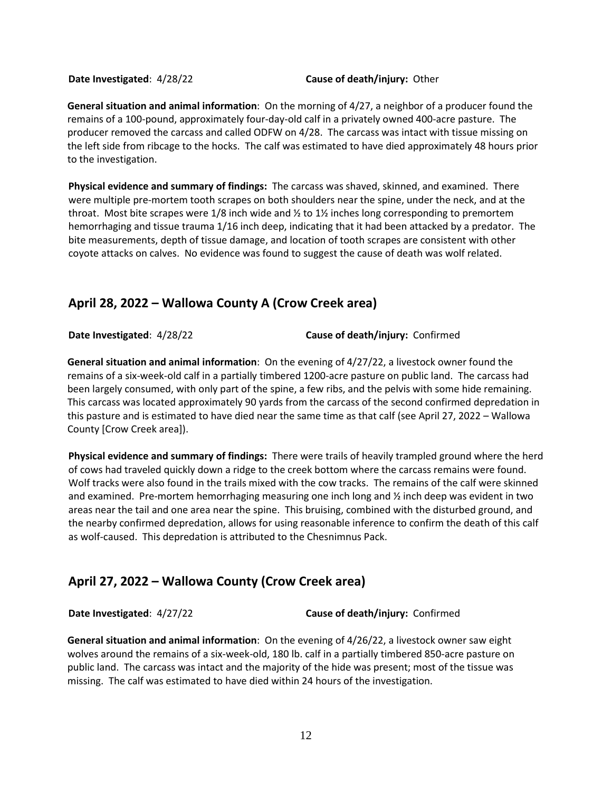**Date Investigated**: 4/28/22 **Cause of death/injury:** Other

**General situation and animal information**: On the morning of 4/27, a neighbor of a producer found the remains of a 100-pound, approximately four-day-old calf in a privately owned 400-acre pasture. The producer removed the carcass and called ODFW on 4/28. The carcass was intact with tissue missing on the left side from ribcage to the hocks. The calf was estimated to have died approximately 48 hours prior to the investigation.

**Physical evidence and summary of findings:** The carcass was shaved, skinned, and examined. There were multiple pre-mortem tooth scrapes on both shoulders near the spine, under the neck, and at the throat. Most bite scrapes were  $1/8$  inch wide and  $\frac{1}{2}$  to  $1\frac{1}{2}$  inches long corresponding to premortem hemorrhaging and tissue trauma 1/16 inch deep, indicating that it had been attacked by a predator. The bite measurements, depth of tissue damage, and location of tooth scrapes are consistent with other coyote attacks on calves. No evidence was found to suggest the cause of death was wolf related.

## **April 28, 2022 – Wallowa County A (Crow Creek area)**

**Date Investigated**: 4/28/22 **Cause of death/injury:** Confirmed

**General situation and animal information**: On the evening of 4/27/22, a livestock owner found the remains of a six-week-old calf in a partially timbered 1200-acre pasture on public land. The carcass had been largely consumed, with only part of the spine, a few ribs, and the pelvis with some hide remaining. This carcass was located approximately 90 yards from the carcass of the second confirmed depredation in this pasture and is estimated to have died near the same time as that calf (see April 27, 2022 – Wallowa County [Crow Creek area]).

**Physical evidence and summary of findings:** There were trails of heavily trampled ground where the herd of cows had traveled quickly down a ridge to the creek bottom where the carcass remains were found. Wolf tracks were also found in the trails mixed with the cow tracks. The remains of the calf were skinned and examined. Pre-mortem hemorrhaging measuring one inch long and ½ inch deep was evident in two areas near the tail and one area near the spine. This bruising, combined with the disturbed ground, and the nearby confirmed depredation, allows for using reasonable inference to confirm the death of this calf as wolf-caused. This depredation is attributed to the Chesnimnus Pack.

# **April 27, 2022 – Wallowa County (Crow Creek area)**

**Date Investigated**: 4/27/22 **Cause of death/injury:** Confirmed

**General situation and animal information**: On the evening of 4/26/22, a livestock owner saw eight wolves around the remains of a six-week-old, 180 lb. calf in a partially timbered 850-acre pasture on public land. The carcass was intact and the majority of the hide was present; most of the tissue was missing. The calf was estimated to have died within 24 hours of the investigation.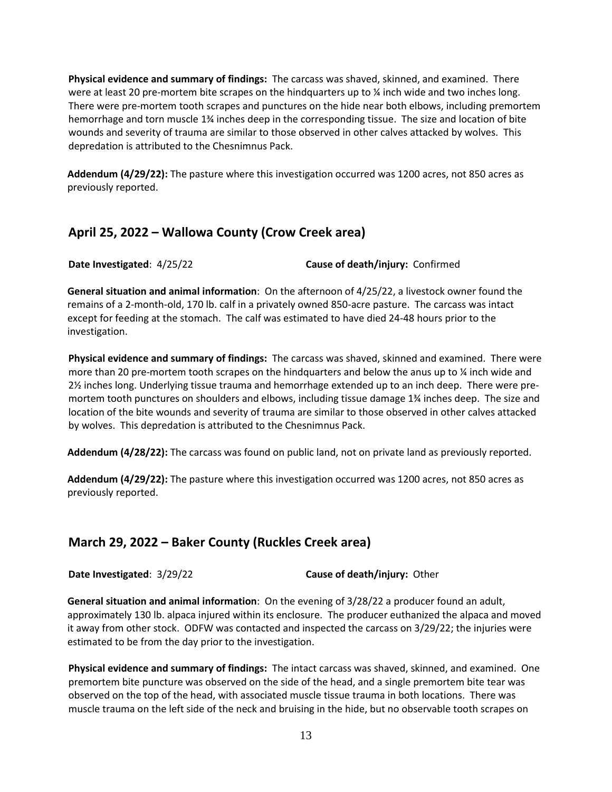**Physical evidence and summary of findings:** The carcass was shaved, skinned, and examined. There were at least 20 pre-mortem bite scrapes on the hindquarters up to  $\frac{1}{2}$  inch wide and two inches long. There were pre-mortem tooth scrapes and punctures on the hide near both elbows, including premortem hemorrhage and torn muscle 1¾ inches deep in the corresponding tissue. The size and location of bite wounds and severity of trauma are similar to those observed in other calves attacked by wolves. This depredation is attributed to the Chesnimnus Pack.

**Addendum (4/29/22):** The pasture where this investigation occurred was 1200 acres, not 850 acres as previously reported.

## **April 25, 2022 – Wallowa County (Crow Creek area)**

**Date Investigated**: 4/25/22 **Cause of death/injury:** Confirmed

**General situation and animal information**: On the afternoon of 4/25/22, a livestock owner found the remains of a 2-month-old, 170 lb. calf in a privately owned 850-acre pasture. The carcass was intact except for feeding at the stomach. The calf was estimated to have died 24-48 hours prior to the investigation.

**Physical evidence and summary of findings:** The carcass was shaved, skinned and examined. There were more than 20 pre-mortem tooth scrapes on the hindquarters and below the anus up to  $\frac{1}{4}$  inch wide and 2½ inches long. Underlying tissue trauma and hemorrhage extended up to an inch deep. There were premortem tooth punctures on shoulders and elbows, including tissue damage 1¾ inches deep. The size and location of the bite wounds and severity of trauma are similar to those observed in other calves attacked by wolves. This depredation is attributed to the Chesnimnus Pack.

**Addendum (4/28/22):** The carcass was found on public land, not on private land as previously reported.

**Addendum (4/29/22):** The pasture where this investigation occurred was 1200 acres, not 850 acres as previously reported.

## **March 29, 2022 – Baker County (Ruckles Creek area)**

**Date Investigated**: 3/29/22 **Cause of death/injury:** Other

**General situation and animal information**: On the evening of 3/28/22 a producer found an adult, approximately 130 lb. alpaca injured within its enclosure. The producer euthanized the alpaca and moved it away from other stock. ODFW was contacted and inspected the carcass on 3/29/22; the injuries were estimated to be from the day prior to the investigation.

**Physical evidence and summary of findings:** The intact carcass was shaved, skinned, and examined. One premortem bite puncture was observed on the side of the head, and a single premortem bite tear was observed on the top of the head, with associated muscle tissue trauma in both locations. There was muscle trauma on the left side of the neck and bruising in the hide, but no observable tooth scrapes on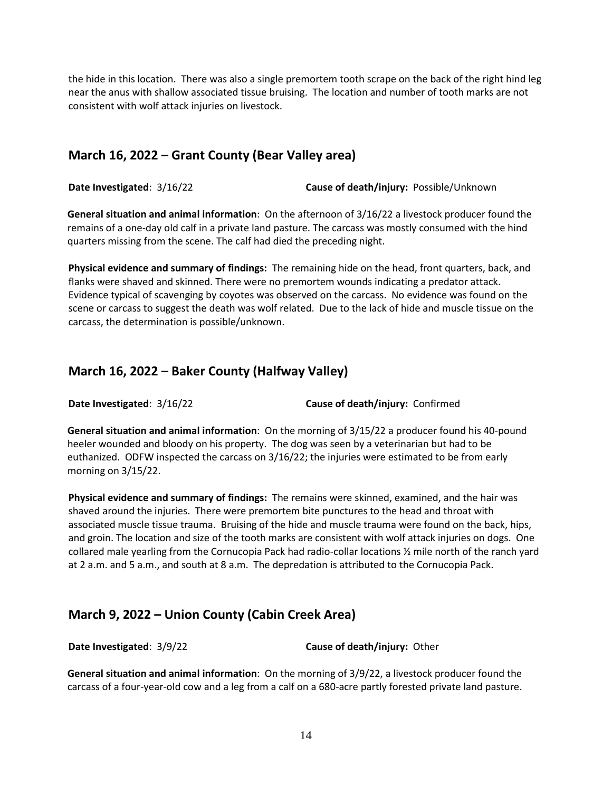the hide in this location. There was also a single premortem tooth scrape on the back of the right hind leg near the anus with shallow associated tissue bruising. The location and number of tooth marks are not consistent with wolf attack injuries on livestock.

## **March 16, 2022 – Grant County (Bear Valley area)**

**Date Investigated**: 3/16/22 **Cause of death/injury:** Possible/Unknown

**General situation and animal information**: On the afternoon of 3/16/22 a livestock producer found the remains of a one-day old calf in a private land pasture. The carcass was mostly consumed with the hind quarters missing from the scene. The calf had died the preceding night.

**Physical evidence and summary of findings:** The remaining hide on the head, front quarters, back, and flanks were shaved and skinned. There were no premortem wounds indicating a predator attack. Evidence typical of scavenging by coyotes was observed on the carcass. No evidence was found on the scene or carcass to suggest the death was wolf related. Due to the lack of hide and muscle tissue on the carcass, the determination is possible/unknown.

#### **March 16, 2022 – Baker County (Halfway Valley)**

**Date Investigated**: 3/16/22 **Cause of death/injury:** Confirmed

**General situation and animal information**: On the morning of 3/15/22 a producer found his 40-pound heeler wounded and bloody on his property. The dog was seen by a veterinarian but had to be euthanized. ODFW inspected the carcass on 3/16/22; the injuries were estimated to be from early morning on 3/15/22.

**Physical evidence and summary of findings:** The remains were skinned, examined, and the hair was shaved around the injuries. There were premortem bite punctures to the head and throat with associated muscle tissue trauma. Bruising of the hide and muscle trauma were found on the back, hips, and groin. The location and size of the tooth marks are consistent with wolf attack injuries on dogs. One collared male yearling from the Cornucopia Pack had radio-collar locations ½ mile north of the ranch yard at 2 a.m. and 5 a.m., and south at 8 a.m. The depredation is attributed to the Cornucopia Pack.

## **March 9, 2022 – Union County (Cabin Creek Area)**

**Date Investigated**: 3/9/22 **Cause of death/injury:** Other

**General situation and animal information**: On the morning of 3/9/22, a livestock producer found the carcass of a four-year-old cow and a leg from a calf on a 680-acre partly forested private land pasture.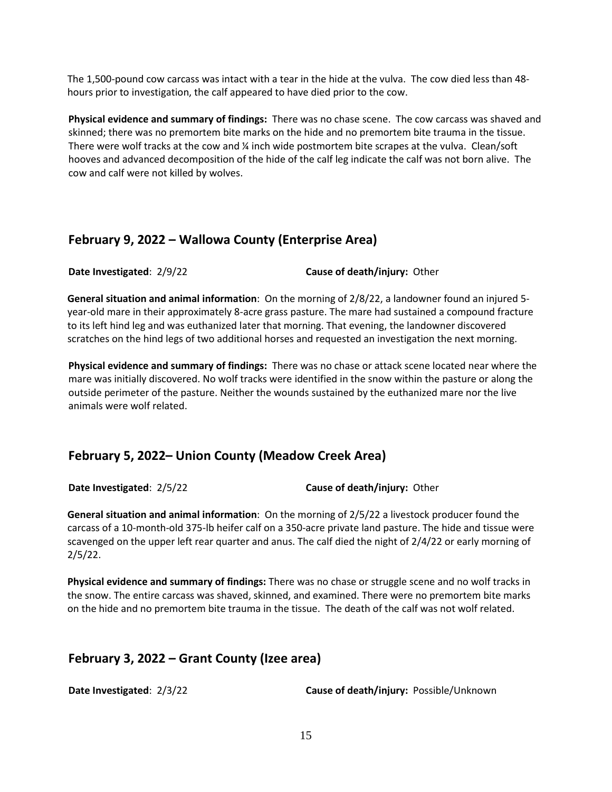The 1,500-pound cow carcass was intact with a tear in the hide at the vulva. The cow died less than 48 hours prior to investigation, the calf appeared to have died prior to the cow.

**Physical evidence and summary of findings:** There was no chase scene. The cow carcass was shaved and skinned; there was no premortem bite marks on the hide and no premortem bite trauma in the tissue. There were wolf tracks at the cow and % inch wide postmortem bite scrapes at the vulva. Clean/soft hooves and advanced decomposition of the hide of the calf leg indicate the calf was not born alive. The cow and calf were not killed by wolves.

#### **February 9, 2022 – Wallowa County (Enterprise Area)**

**Date Investigated**: 2/9/22 **Cause of death/injury:** Other

**General situation and animal information**: On the morning of 2/8/22, a landowner found an injured 5 year-old mare in their approximately 8-acre grass pasture. The mare had sustained a compound fracture to its left hind leg and was euthanized later that morning. That evening, the landowner discovered scratches on the hind legs of two additional horses and requested an investigation the next morning.

**Physical evidence and summary of findings:** There was no chase or attack scene located near where the mare was initially discovered. No wolf tracks were identified in the snow within the pasture or along the outside perimeter of the pasture. Neither the wounds sustained by the euthanized mare nor the live animals were wolf related.

#### **February 5, 2022– Union County (Meadow Creek Area)**

**Date Investigated**: 2/5/22 **Cause of death/injury:** Other

**General situation and animal information**: On the morning of 2/5/22 a livestock producer found the carcass of a 10-month-old 375-lb heifer calf on a 350-acre private land pasture. The hide and tissue were scavenged on the upper left rear quarter and anus. The calf died the night of 2/4/22 or early morning of 2/5/22.

**Physical evidence and summary of findings:** There was no chase or struggle scene and no wolf tracks in the snow. The entire carcass was shaved, skinned, and examined. There were no premortem bite marks on the hide and no premortem bite trauma in the tissue. The death of the calf was not wolf related.

## **February 3, 2022 – Grant County (Izee area)**

**Date Investigated**: 2/3/22 **Cause of death/injury:** Possible/Unknown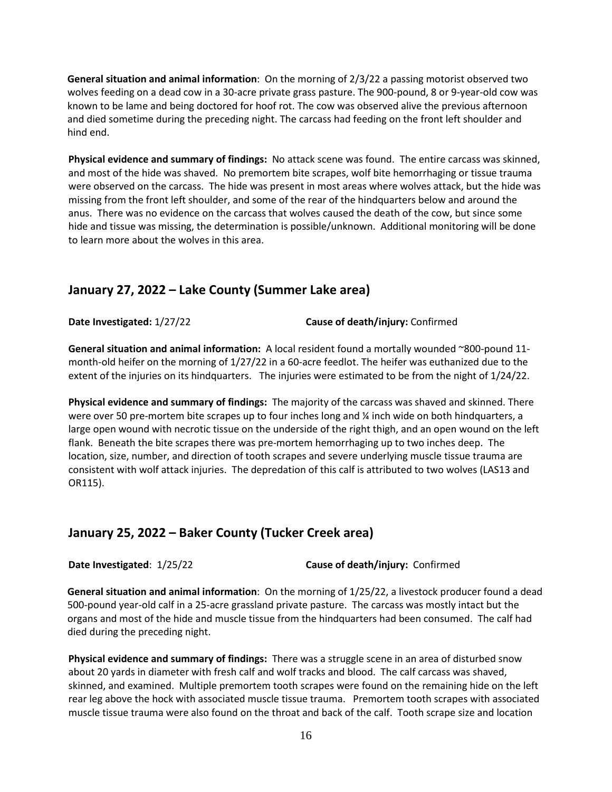**General situation and animal information**: On the morning of 2/3/22 a passing motorist observed two wolves feeding on a dead cow in a 30-acre private grass pasture. The 900-pound, 8 or 9-year-old cow was known to be lame and being doctored for hoof rot. The cow was observed alive the previous afternoon and died sometime during the preceding night. The carcass had feeding on the front left shoulder and hind end.

**Physical evidence and summary of findings:** No attack scene was found. The entire carcass was skinned, and most of the hide was shaved. No premortem bite scrapes, wolf bite hemorrhaging or tissue trauma were observed on the carcass. The hide was present in most areas where wolves attack, but the hide was missing from the front left shoulder, and some of the rear of the hindquarters below and around the anus. There was no evidence on the carcass that wolves caused the death of the cow, but since some hide and tissue was missing, the determination is possible/unknown. Additional monitoring will be done to learn more about the wolves in this area.

#### **January 27, 2022 – Lake County (Summer Lake area)**

**Date Investigated:** 1/27/22 **Cause of death/injury:** Confirmed

**General situation and animal information:** A local resident found a mortally wounded ~800-pound 11 month-old heifer on the morning of 1/27/22 in a 60-acre feedlot. The heifer was euthanized due to the extent of the injuries on its hindquarters. The injuries were estimated to be from the night of 1/24/22.

**Physical evidence and summary of findings:** The majority of the carcass was shaved and skinned. There were over 50 pre-mortem bite scrapes up to four inches long and  $\frac{1}{4}$  inch wide on both hindquarters, a large open wound with necrotic tissue on the underside of the right thigh, and an open wound on the left flank. Beneath the bite scrapes there was pre-mortem hemorrhaging up to two inches deep. The location, size, number, and direction of tooth scrapes and severe underlying muscle tissue trauma are consistent with wolf attack injuries. The depredation of this calf is attributed to two wolves (LAS13 and OR115).

#### **January 25, 2022 – Baker County (Tucker Creek area)**

**Date Investigated**: 1/25/22 **Cause of death/injury:** Confirmed

**General situation and animal information**: On the morning of 1/25/22, a livestock producer found a dead 500-pound year-old calf in a 25-acre grassland private pasture. The carcass was mostly intact but the organs and most of the hide and muscle tissue from the hindquarters had been consumed. The calf had died during the preceding night.

**Physical evidence and summary of findings:** There was a struggle scene in an area of disturbed snow about 20 yards in diameter with fresh calf and wolf tracks and blood. The calf carcass was shaved, skinned, and examined. Multiple premortem tooth scrapes were found on the remaining hide on the left rear leg above the hock with associated muscle tissue trauma. Premortem tooth scrapes with associated muscle tissue trauma were also found on the throat and back of the calf. Tooth scrape size and location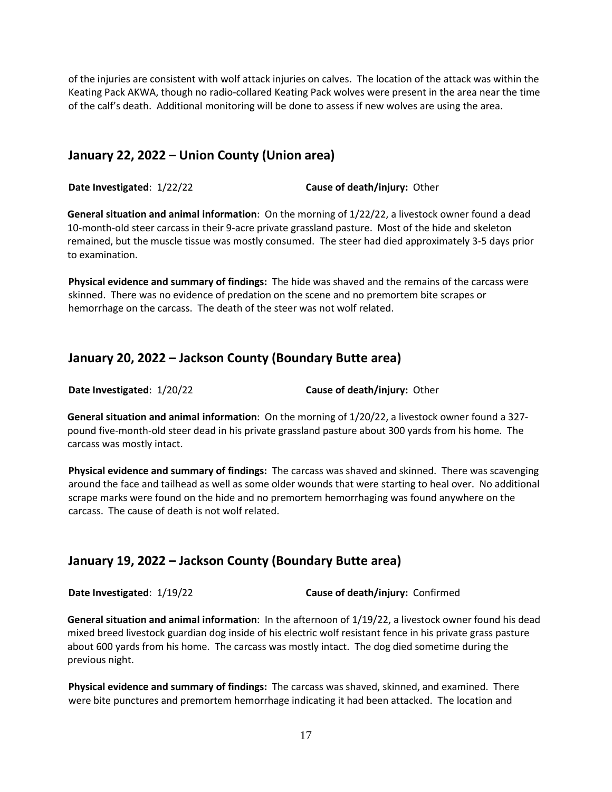of the injuries are consistent with wolf attack injuries on calves. The location of the attack was within the Keating Pack AKWA, though no radio-collared Keating Pack wolves were present in the area near the time of the calf's death. Additional monitoring will be done to assess if new wolves are using the area.

#### **January 22, 2022 – Union County (Union area)**

**Date Investigated**: 1/22/22 **Cause of death/injury:** Other

**General situation and animal information**: On the morning of 1/22/22, a livestock owner found a dead 10-month-old steer carcass in their 9-acre private grassland pasture. Most of the hide and skeleton remained, but the muscle tissue was mostly consumed. The steer had died approximately 3-5 days prior to examination.

**Physical evidence and summary of findings:** The hide was shaved and the remains of the carcass were skinned. There was no evidence of predation on the scene and no premortem bite scrapes or hemorrhage on the carcass. The death of the steer was not wolf related.

## **January 20, 2022 – Jackson County (Boundary Butte area)**

**Date Investigated**: 1/20/22 **Cause of death/injury:** Other

**General situation and animal information**: On the morning of 1/20/22, a livestock owner found a 327 pound five-month-old steer dead in his private grassland pasture about 300 yards from his home. The carcass was mostly intact.

**Physical evidence and summary of findings:** The carcass was shaved and skinned. There was scavenging around the face and tailhead as well as some older wounds that were starting to heal over. No additional scrape marks were found on the hide and no premortem hemorrhaging was found anywhere on the carcass. The cause of death is not wolf related.

## **January 19, 2022 – Jackson County (Boundary Butte area)**

**Date Investigated**: 1/19/22 **Cause of death/injury:** Confirmed

**General situation and animal information**: In the afternoon of 1/19/22, a livestock owner found his dead mixed breed livestock guardian dog inside of his electric wolf resistant fence in his private grass pasture about 600 yards from his home. The carcass was mostly intact. The dog died sometime during the previous night.

**Physical evidence and summary of findings:** The carcass was shaved, skinned, and examined. There were bite punctures and premortem hemorrhage indicating it had been attacked. The location and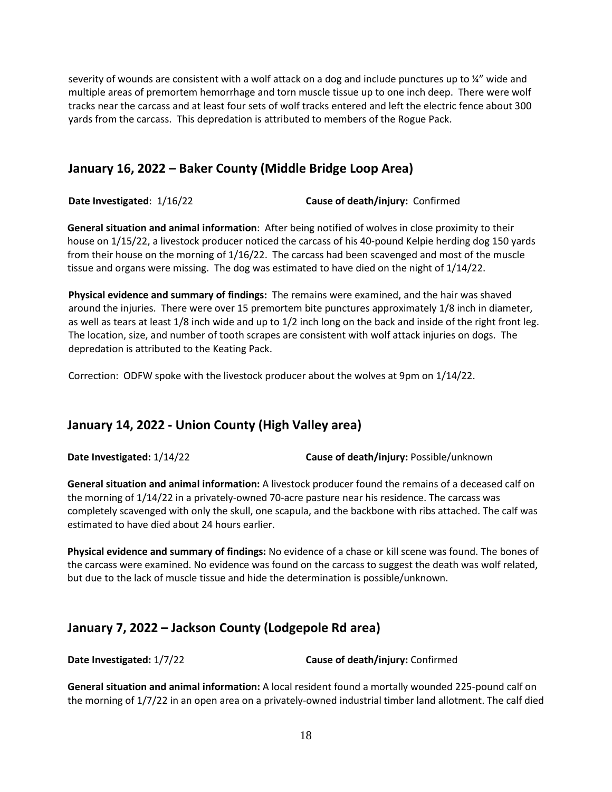severity of wounds are consistent with a wolf attack on a dog and include punctures up to ¼" wide and multiple areas of premortem hemorrhage and torn muscle tissue up to one inch deep. There were wolf tracks near the carcass and at least four sets of wolf tracks entered and left the electric fence about 300 yards from the carcass. This depredation is attributed to members of the Rogue Pack.

## **January 16, 2022 – Baker County (Middle Bridge Loop Area)**

**Date Investigated**: 1/16/22 **Cause of death/injury:** Confirmed

**General situation and animal information**: After being notified of wolves in close proximity to their house on 1/15/22, a livestock producer noticed the carcass of his 40-pound Kelpie herding dog 150 yards from their house on the morning of 1/16/22. The carcass had been scavenged and most of the muscle tissue and organs were missing. The dog was estimated to have died on the night of 1/14/22.

**Physical evidence and summary of findings:** The remains were examined, and the hair was shaved around the injuries. There were over 15 premortem bite punctures approximately 1/8 inch in diameter, as well as tears at least 1/8 inch wide and up to 1/2 inch long on the back and inside of the right front leg. The location, size, and number of tooth scrapes are consistent with wolf attack injuries on dogs. The depredation is attributed to the Keating Pack.

Correction: ODFW spoke with the livestock producer about the wolves at 9pm on 1/14/22.

## **January 14, 2022 - Union County (High Valley area)**

**Date Investigated:** 1/14/22 **Cause of death/injury:** Possible/unknown

**General situation and animal information:** A livestock producer found the remains of a deceased calf on the morning of 1/14/22 in a privately-owned 70-acre pasture near his residence. The carcass was completely scavenged with only the skull, one scapula, and the backbone with ribs attached. The calf was estimated to have died about 24 hours earlier.

**Physical evidence and summary of findings:** No evidence of a chase or kill scene was found. The bones of the carcass were examined. No evidence was found on the carcass to suggest the death was wolf related, but due to the lack of muscle tissue and hide the determination is possible/unknown.

## **January 7, 2022 – Jackson County (Lodgepole Rd area)**

**Date Investigated:** 1/7/22 **Cause of death/injury:** Confirmed

**General situation and animal information:** A local resident found a mortally wounded 225-pound calf on the morning of 1/7/22 in an open area on a privately-owned industrial timber land allotment. The calf died